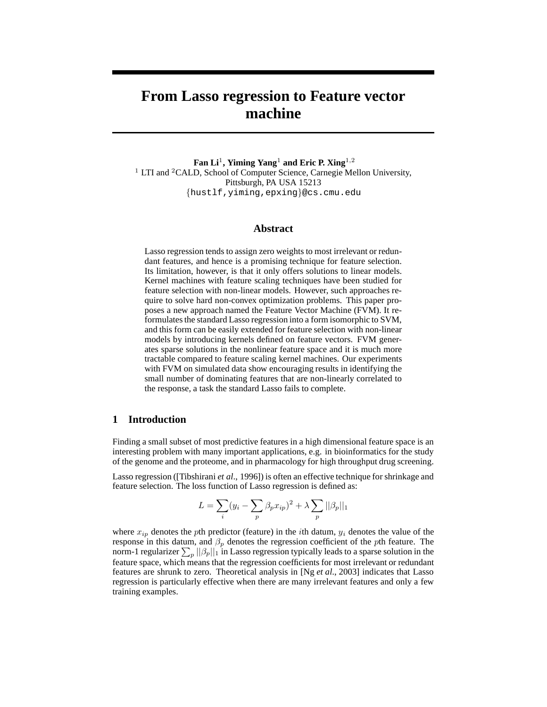# **From Lasso regression to Feature vector machine**

**Fan Li**<sup>1</sup> **, Yiming Yang**<sup>1</sup> **and Eric P. Xing**<sup>1</sup>,<sup>2</sup> <sup>1</sup> LTI and <sup>2</sup>CALD, School of Computer Science, Carnegie Mellon University, Pittsburgh, PA USA 15213 {hustlf,yiming,epxing}@cs.cmu.edu

# **Abstract**

Lasso regression tends to assign zero weights to most irrelevant or redundant features, and hence is a promising technique for feature selection. Its limitation, however, is that it only offers solutions to linear models. Kernel machines with feature scaling techniques have been studied for feature selection with non-linear models. However, such approaches require to solve hard non-convex optimization problems. This paper proposes a new approach named the Feature Vector Machine (FVM). It reformulates the standard Lasso regression into a form isomorphic to SVM, and this form can be easily extended for feature selection with non-linear models by introducing kernels defined on feature vectors. FVM generates sparse solutions in the nonlinear feature space and it is much more tractable compared to feature scaling kernel machines. Our experiments with FVM on simulated data show encouraging results in identifying the small number of dominating features that are non-linearly correlated to the response, a task the standard Lasso fails to complete.

# **1 Introduction**

Finding a small subset of most predictive features in a high dimensional feature space is an interesting problem with many important applications, e.g. in bioinformatics for the study of the genome and the proteome, and in pharmacology for high throughput drug screening.

Lasso regression ([Tibshirani *et al*., 1996]) is often an effective technique for shrinkage and feature selection. The loss function of Lasso regression is defined as:

$$
L = \sum_{i} (y_i - \sum_{p} \beta_p x_{ip})^2 + \lambda \sum_{p} ||\beta_p||_1
$$

where  $x_{ip}$  denotes the pth predictor (feature) in the *i*th datum,  $y_i$  denotes the value of the response in this datum, and  $\beta_p$  denotes the regression coefficient of the pth feature. The norm-1 regularizer  $\sum_p||\beta_p||_1$  in Lasso regression typically leads to a sparse solution in the feature space, which means that the regression coefficients for most irrelevant or redundant features are shrunk to zero. Theoretical analysis in [Ng *et al*., 2003] indicates that Lasso regression is particularly effective when there are many irrelevant features and only a few training examples.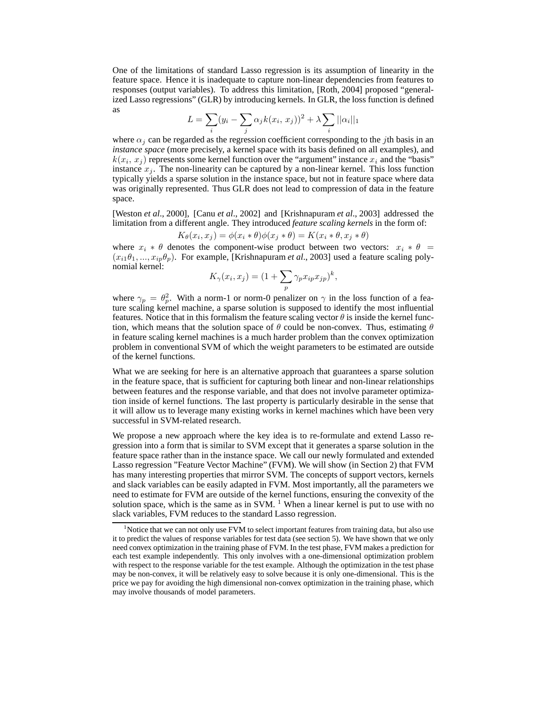One of the limitations of standard Lasso regression is its assumption of linearity in the feature space. Hence it is inadequate to capture non-linear dependencies from features to responses (output variables). To address this limitation, [Roth, 2004] proposed "generalized Lasso regressions" (GLR) by introducing kernels. In GLR, the loss function is defined as

$$
L = \sum_{i} (y_i - \sum_{j} \alpha_j k(x_i, x_j))^2 + \lambda \sum_{i} ||\alpha_i||_1
$$

where  $\alpha_i$  can be regarded as the regression coefficient corresponding to the *j*th basis in an *instance space* (more precisely, a kernel space with its basis defined on all examples), and  $k(x_i, x_j)$  represents some kernel function over the "argument" instance  $x_i$  and the "basis" instance  $x_j$ . The non-linearity can be captured by a non-linear kernel. This loss function typically yields a sparse solution in the instance space, but not in feature space where data was originally represented. Thus GLR does not lead to compression of data in the feature space.

[Weston *et al*., 2000], [Canu *et al*., 2002] and [Krishnapuram *et al*., 2003] addressed the limitation from a different angle. They introduced *feature scaling kernels* in the form of:

$$
K_{\theta}(x_i, x_j) = \phi(x_i * \theta)\phi(x_j * \theta) = K(x_i * \theta, x_j * \theta)
$$

where  $x_i * \theta$  denotes the component-wise product between two vectors:  $x_i * \theta$  =  $(x_{i1}\theta_1, ..., x_{ip}\theta_p)$ . For example, [Krishnapuram *et al.*, 2003] used a feature scaling polynomial kernel:

$$
K_{\gamma}(x_i, x_j) = (1 + \sum_p \gamma_p x_{ip} x_{jp})^k,
$$

where  $\gamma_p = \theta_p^2$ . With a norm-1 or norm-0 penalizer on  $\gamma$  in the loss function of a feature scaling kernel machine, a sparse solution is supposed to identify the most influential features. Notice that in this formalism the feature scaling vector  $\theta$  is inside the kernel function, which means that the solution space of  $\theta$  could be non-convex. Thus, estimating  $\theta$ in feature scaling kernel machines is a much harder problem than the convex optimization problem in conventional SVM of which the weight parameters to be estimated are outside of the kernel functions.

What we are seeking for here is an alternative approach that guarantees a sparse solution in the feature space, that is sufficient for capturing both linear and non-linear relationships between features and the response variable, and that does not involve parameter optimization inside of kernel functions. The last property is particularly desirable in the sense that it will allow us to leverage many existing works in kernel machines which have been very successful in SVM-related research.

We propose a new approach where the key idea is to re-formulate and extend Lasso regression into a form that is similar to SVM except that it generates a sparse solution in the feature space rather than in the instance space. We call our newly formulated and extended Lasso regression "Feature Vector Machine" (FVM). We will show (in Section 2) that FVM has many interesting properties that mirror SVM. The concepts of support vectors, kernels and slack variables can be easily adapted in FVM. Most importantly, all the parameters we need to estimate for FVM are outside of the kernel functions, ensuring the convexity of the solution space, which is the same as in SVM.  $<sup>1</sup>$  When a linear kernel is put to use with no</sup> slack variables, FVM reduces to the standard Lasso regression.

<sup>&</sup>lt;sup>1</sup>Notice that we can not only use FVM to select important features from training data, but also use it to predict the values of response variables for test data (see section 5). We have shown that we only need convex optimization in the training phase of FVM. In the test phase, FVM makes a prediction for each test example independently. This only involves with a one-dimensional optimization problem with respect to the response variable for the test example. Although the optimization in the test phase may be non-convex, it will be relatively easy to solve because it is only one-dimensional. This is the price we pay for avoiding the high dimensional non-convex optimization in the training phase, which may involve thousands of model parameters.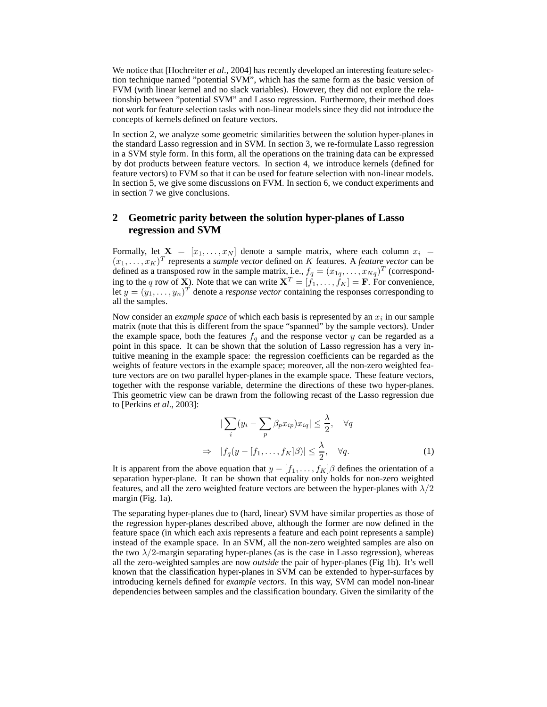We notice that [Hochreiter *et al*., 2004] has recently developed an interesting feature selection technique named "potential SVM", which has the same form as the basic version of FVM (with linear kernel and no slack variables). However, they did not explore the relationship between "potential SVM" and Lasso regression. Furthermore, their method does not work for feature selection tasks with non-linear models since they did not introduce the concepts of kernels defined on feature vectors.

In section 2, we analyze some geometric similarities between the solution hyper-planes in the standard Lasso regression and in SVM. In section 3, we re-formulate Lasso regression in a SVM style form. In this form, all the operations on the training data can be expressed by dot products between feature vectors. In section 4, we introduce kernels (defined for feature vectors) to FVM so that it can be used for feature selection with non-linear models. In section 5, we give some discussions on FVM. In section 6, we conduct experiments and in section 7 we give conclusions.

# **2 Geometric parity between the solution hyper-planes of Lasso regression and SVM**

Formally, let  $X = [x_1, ..., x_N]$  denote a sample matrix, where each column  $x_i =$  $(x_1, \ldots, x_K)^T$  represents a *sample vector* defined on K features. A *feature vector* can be defined as a transposed row in the sample matrix, i.e.,  $f_q = (x_{1q}, \ldots, x_{Nq})^T$  (corresponding to the q row of **X**). Note that we can write  $X^T = [f_1, \ldots, f_K] = \mathbf{F}$ . For convenience, let  $y = (y_1, \ldots, y_n)^T$  denote a *response vector* containing the responses corresponding to all the samples.

Now consider an *example space* of which each basis is represented by an  $x_i$  in our sample matrix (note that this is different from the space "spanned" by the sample vectors). Under the example space, both the features  $f_q$  and the response vector y can be regarded as a point in this space. It can be shown that the solution of Lasso regression has a very intuitive meaning in the example space: the regression coefficients can be regarded as the weights of feature vectors in the example space; moreover, all the non-zero weighted feature vectors are on two parallel hyper-planes in the example space. These feature vectors, together with the response variable, determine the directions of these two hyper-planes. This geometric view can be drawn from the following recast of the Lasso regression due to [Perkins *et al*., 2003]:

$$
|\sum_{i}(y_{i}-\sum_{p}\beta_{p}x_{ip})x_{iq}| \leq \frac{\lambda}{2}, \quad \forall q
$$
  
\n
$$
\Rightarrow |f_{q}(y-[f_{1},...,f_{K}]\beta)| \leq \frac{\lambda}{2}, \quad \forall q.
$$
 (1)

It is apparent from the above equation that  $y - [f_1, \ldots, f_K]$  defines the orientation of a separation hyper-plane. It can be shown that equality only holds for non-zero weighted features, and all the zero weighted feature vectors are between the hyper-planes with  $\lambda/2$ margin (Fig. 1a).

The separating hyper-planes due to (hard, linear) SVM have similar properties as those of the regression hyper-planes described above, although the former are now defined in the feature space (in which each axis represents a feature and each point represents a sample) instead of the example space. In an SVM, all the non-zero weighted samples are also on the two  $\lambda/2$ -margin separating hyper-planes (as is the case in Lasso regression), whereas all the zero-weighted samples are now *outside* the pair of hyper-planes (Fig 1b). It's well known that the classification hyper-planes in SVM can be extended to hyper-surfaces by introducing kernels defined for *example vectors*. In this way, SVM can model non-linear dependencies between samples and the classification boundary. Given the similarity of the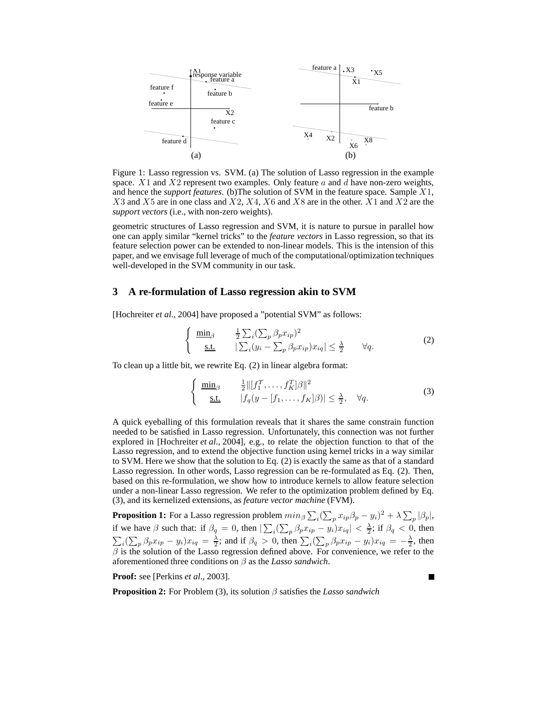

Figure 1: Lasso regression vs. SVM. (a) The solution of Lasso regression in the example space. X1 and X2 represent two examples. Only feature  $a$  and  $d$  have non-zero weights, and hence the *support features*. (b)The solution of SVM in the feature space. Sample X1,  $X3$  and  $X5$  are in one class and  $X2$ ,  $X4$ ,  $X6$  and  $X8$  are in the other.  $X1$  and  $X2$  are the *support vectors* (i.e., with non-zero weights).

geometric structures of Lasso regression and SVM, it is nature to pursue in parallel how one can apply similar "kernel tricks" to the *feature vectors* in Lasso regression, so that its feature selection power can be extended to non-linear models. This is the intension of this paper, and we envisage full leverage of much of the computational/optimization techniques well-developed in the SVM community in our task.

# **3 A re-formulation of Lasso regression akin to SVM**

[Hochreiter *et al*., 2004] have proposed a "potential SVM" as follows:

$$
\begin{cases}\n\min_{\beta} \qquad \frac{1}{2} \sum_{i} (\sum_{p} \beta_{p} x_{ip})^{2} \\
\underline{\text{s.t.}} \qquad |\sum_{i} (y_{i} - \sum_{p} \beta_{p} x_{ip}) x_{iq}| \leq \frac{\lambda}{2} \qquad \forall q.\n\end{cases} \tag{2}
$$

To clean up a little bit, we rewrite Eq. (2) in linear algebra format:

$$
\begin{cases}\n\min_{\beta} & \frac{1}{2} ||[f_1^T, \dots, f_K^T] \beta||^2 \\
\text{s.t.} & |f_q(y - [f_1, \dots, f_K] \beta)| \le \frac{\lambda}{2}, \quad \forall q.\n\end{cases} \tag{3}
$$

A quick eyeballing of this formulation reveals that it shares the same constrain function needed to be satisfied in Lasso regression. Unfortunately, this connection was not further explored in [Hochreiter *et al*., 2004], e.g., to relate the objection function to that of the Lasso regression, and to extend the objective function using kernel tricks in a way similar to SVM. Here we show that the solution to Eq. (2) is exactly the same as that of a standard Lasso regression. In other words, Lasso regression can be re-formulated as Eq. (2). Then, based on this re-formulation, we show how to introduce kernels to allow feature selection under a non-linear Lasso regression. We refer to the optimization problem defined by Eq. (3), and its kernelized extensions, as *feature vector machine* (FVM).

**Proposition 1:** For a Lasso regression problem  $min_{\beta} \sum_i (\sum_p x_{ip} \beta_p - y_i)^2 + \lambda \sum_p |\beta_p|$ , if we have  $\beta$  such that: if  $\beta_q = 0$ , then  $|\sum_i (\sum_p \beta_p x_{ip} - y_i) x_{iq}| < \frac{\lambda}{2}$ ; if  $\beta_q < 0$ , then  $\sum_i (\sum_p \beta_p x_{ip} - y_i) x_{iq} = \frac{\lambda}{2}$ ; and if  $\beta_q > 0$ , then  $\sum_i (\sum_p \beta_p x_{ip} - y_i) x_{iq} = -\frac{\lambda}{2}$ , then  $\beta$  is the solution of the Lasso regression defined above. For convenience, we refer to the aforementioned three conditions on β as the *Lasso sandwich*.

**Proof:** see [Perkins *et al*., 2003].

**Proposition 2:** For Problem (3), its solution β satisfies the *Lasso sandwich*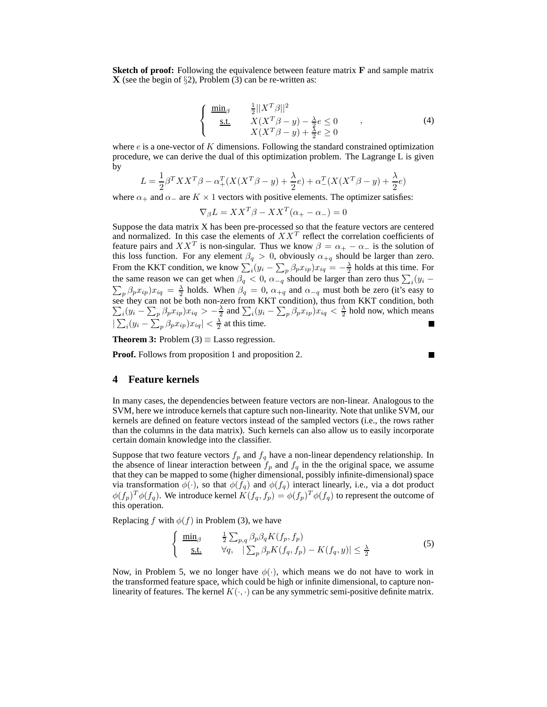**Sketch of proof:** Following the equivalence between feature matrix **F** and sample matrix **X** (see the begin of  $\S2$ ), Problem (3) can be re-written as:

$$
\begin{cases}\n\frac{\min_{\beta}}{\text{s.t.}} & \frac{1}{2}||X^T\beta||^2\\ \n& X(X^T\beta - y) - \frac{\lambda}{2}e \le 0\\ \n& X(X^T\beta - y) + \frac{\lambda}{2}e \ge 0\n\end{cases}
$$
\n(4)

where  $e$  is a one-vector of  $K$  dimensions. Following the standard constrained optimization procedure, we can derive the dual of this optimization problem. The Lagrange L is given by

$$
L = \frac{1}{2}\beta^T XX^T \beta - \alpha_+^T (X(X^T \beta - y) + \frac{\lambda}{2}e) + \alpha_-^T (X(X^T \beta - y) + \frac{\lambda}{2}e)
$$

where  $\alpha_+$  and  $\alpha_-$  are  $K \times 1$  vectors with positive elements. The optimizer satisfies:

$$
\nabla_{\beta}L = XX^T \beta - XX^T (\alpha_+ - \alpha_-) = 0
$$

Suppose the data matrix X has been pre-processed so that the feature vectors are centered and normalized. In this case the elements of  $XX<sup>T</sup>$  reflect the correlation coefficients of feature pairs and  $XX<sup>T</sup>$  is non-singular. Thus we know  $\beta = \alpha_+ - \alpha_-$  is the solution of this loss function. For any element  $\beta_q > 0$ , obviously  $\alpha_{+q}$  should be larger than zero. From the KKT condition, we know  $\sum_i (y_i - \sum_p \beta_p x_{ip}) x_{iq} = -\frac{\lambda}{2}$  holds at this time. For the same reason we can get when  $\beta_q < 0$ ,  $\alpha_{-q}$  should be larger than zero thus  $\sum_i (y_i \sum_p \beta_p x_{ip} x_{iq} = \frac{\lambda}{2}$  holds. When  $\beta_q = 0$ ,  $\alpha_{+q}$  and  $\alpha_{-q}$  must both be zero (it's easy to see they can not be both non-zero from KKT condition), thus from KKT condition, both  $\sum_i (y_i - \sum_p \beta_p x_{ip}) x_{iq} > -\frac{\lambda}{2}$  and  $\sum_i (y_i - \sum_p \beta_p x_{ip}) x_{iq} < \frac{\lambda}{2}$  hold now, which means  $|\sum_i (y_i - \sum_p \beta_p x_{ip}) x_{iq}| < \frac{\lambda}{2}$  at this time.

**Theorem 3:** Problem  $(3) \equiv$  Lasso regression.

**Proof.** Follows from proposition 1 and proposition 2.

#### **4 Feature kernels**

In many cases, the dependencies between feature vectors are non-linear. Analogous to the SVM, here we introduce kernels that capture such non-linearity. Note that unlike SVM, our kernels are defined on feature vectors instead of the sampled vectors (i.e., the rows rather than the columns in the data matrix). Such kernels can also allow us to easily incorporate certain domain knowledge into the classifier.

Suppose that two feature vectors  $f_p$  and  $f_q$  have a non-linear dependency relationship. In the absence of linear interaction between  $f_p$  and  $f_q$  in the the original space, we assume that they can be mapped to some (higher dimensional, possibly infinite-dimensional) space via transformation  $\phi(\cdot)$ , so that  $\phi(f_q)$  and  $\phi(f_q)$  interact linearly, i.e., via a dot product  $\phi(f_p)^T \phi(f_q)$ . We introduce kernel  $K(f_q, f_p) = \phi(f_p)^T \phi(f_q)$  to represent the outcome of this operation.

Replacing f with  $\phi(f)$  in Problem (3), we have

$$
\begin{cases}\n\min_{\beta} \qquad \frac{1}{2} \sum_{p,q} \beta_p \beta_q K(f_p, f_p) \\
\text{s.t.} \qquad \forall q, \quad |\sum_{p} \beta_p K(f_q, f_p) - K(f_q, y)| \le \frac{\lambda}{2}\n\end{cases} \tag{5}
$$

Now, in Problem 5, we no longer have  $\phi(\cdot)$ , which means we do not have to work in the transformed feature space, which could be high or infinite dimensional, to capture nonlinearity of features. The kernel  $K(\cdot, \cdot)$  can be any symmetric semi-positive definite matrix.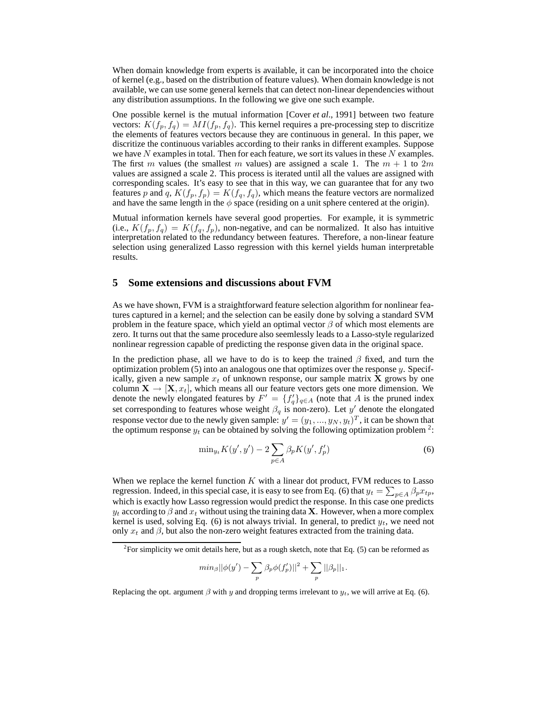When domain knowledge from experts is available, it can be incorporated into the choice of kernel (e.g., based on the distribution of feature values). When domain knowledge is not available, we can use some general kernels that can detect non-linear dependencies without any distribution assumptions. In the following we give one such example.

One possible kernel is the mutual information [Cover *et al*., 1991] between two feature vectors:  $K(f_p, f_q) = MI(f_p, f_q)$ . This kernel requires a pre-processing step to discritize the elements of features vectors because they are continuous in general. In this paper, we discritize the continuous variables according to their ranks in different examples. Suppose we have  $N$  examples in total. Then for each feature, we sort its values in these  $N$  examples. The first m values (the smallest m values) are assigned a scale 1. The  $m + 1$  to  $2m$ values are assigned a scale 2. This process is iterated until all the values are assigned with corresponding scales. It's easy to see that in this way, we can guarantee that for any two features p and q,  $K(f_p, f_p) = K(f_q, f_q)$ , which means the feature vectors are normalized and have the same length in the  $\phi$  space (residing on a unit sphere centered at the origin).

Mutual information kernels have several good properties. For example, it is symmetric (i.e.,  $K(f_p, f_q) = K(f_q, f_p)$ , non-negative, and can be normalized. It also has intuitive interpretation related to the redundancy between features. Therefore, a non-linear feature selection using generalized Lasso regression with this kernel yields human interpretable results.

## **5 Some extensions and discussions about FVM**

As we have shown, FVM is a straightforward feature selection algorithm for nonlinear features captured in a kernel; and the selection can be easily done by solving a standard SVM problem in the feature space, which yield an optimal vector  $\beta$  of which most elements are zero. It turns out that the same procedure also seemlessly leads to a Lasso-style regularized nonlinear regression capable of predicting the response given data in the original space.

In the prediction phase, all we have to do is to keep the trained  $\beta$  fixed, and turn the optimization problem  $(5)$  into an analogous one that optimizes over the response y. Specifically, given a new sample  $x_t$  of unknown response, our sample matrix **X** grows by one column  $X \to [X, x_t]$ , which means all our feature vectors gets one more dimension. We denote the newly elongated features by  $F' = \{f'_q\}_{q \in A}$  (note that A is the pruned index set corresponding to features whose weight  $\beta_q$  is non-zero). Let y' denote the elongated response vector due to the newly given sample:  $y' = (y_1, ..., y_N, y_t)^T$ , it can be shown that the optimum response  $y_t$  can be obtained by solving the following optimization problem <sup>2</sup>:

$$
\min_{y_t} K(y', y') - 2 \sum_{p \in A} \beta_p K(y', f'_p) \tag{6}
$$

When we replace the kernel function  $K$  with a linear dot product, FVM reduces to Lasso regression. Indeed, in this special case, it is easy to see from Eq. (6) that  $y_t = \sum_{p \in A} \beta_p x_{tp}$ , which is exactly how Lasso regression would predict the response. In this case one predicts  $y_t$  according to  $\beta$  and  $x_t$  without using the training data **X**. However, when a more complex kernel is used, solving Eq. (6) is not always trivial. In general, to predict  $y_t$ , we need not only  $x_t$  and  $\beta$ , but also the non-zero weight features extracted from the training data.

$$
min_{\beta} ||\phi(y') - \sum_{p} \beta_p \phi(f'_p)||^2 + \sum_{p} ||\beta_p||_1.
$$

Replacing the opt. argument  $\beta$  with y and dropping terms irrelevant to  $y_t$ , we will arrive at Eq. (6).

<sup>&</sup>lt;sup>2</sup>For simplicity we omit details here, but as a rough sketch, note that Eq. (5) can be reformed as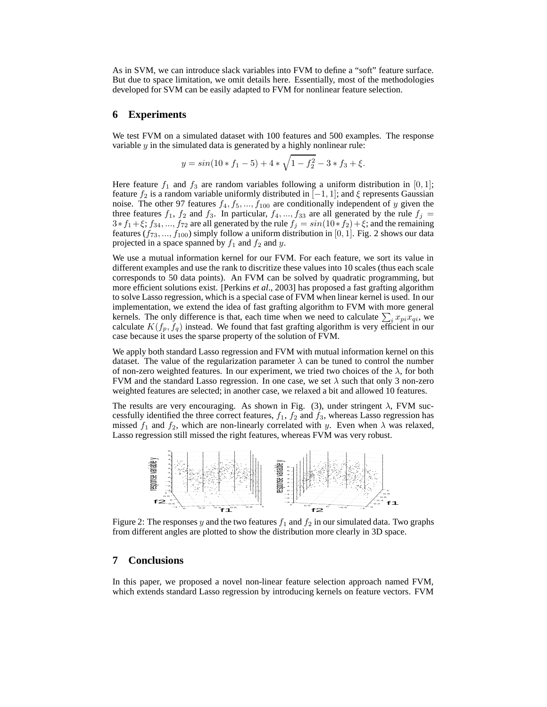As in SVM, we can introduce slack variables into FVM to define a "soft" feature surface. But due to space limitation, we omit details here. Essentially, most of the methodologies developed for SVM can be easily adapted to FVM for nonlinear feature selection.

# **6 Experiments**

We test FVM on a simulated dataset with 100 features and 500 examples. The response variable  $y$  in the simulated data is generated by a highly nonlinear rule:

$$
y = \sin(10 * f_1 - 5) + 4 * \sqrt{1 - f_2^2} - 3 * f_3 + \xi.
$$

Here feature  $f_1$  and  $f_3$  are random variables following a uniform distribution in [0, 1]; feature  $f_2$  is a random variable uniformly distributed in  $[-1, 1]$ ; and  $\xi$  represents Gaussian noise. The other 97 features  $f_4, f_5, ..., f_{100}$  are conditionally independent of y given the three features  $f_1$ ,  $f_2$  and  $f_3$ . In particular,  $f_4$ , ...,  $f_{33}$  are all generated by the rule  $f_j$  $3*f_1+\xi$ ;  $f_{34},..., f_{72}$  are all generated by the rule  $f_j = sin(10*f_2) + \xi$ ; and the remaining features ( $f_{73},..., f_{100}$ ) simply follow a uniform distribution in [0, 1]. Fig. 2 shows our data projected in a space spanned by  $f_1$  and  $f_2$  and y.

We use a mutual information kernel for our FVM. For each feature, we sort its value in different examples and use the rank to discritize these values into 10 scales (thus each scale corresponds to 50 data points). An FVM can be solved by quadratic programming, but more efficient solutions exist. [Perkins *et al*., 2003] has proposed a fast grafting algorithm to solve Lasso regression, which is a special case of FVM when linear kernel is used. In our implementation, we extend the idea of fast grafting algorithm to FVM with more general kernels. The only difference is that, each time when we need to calculate  $\sum_i x_{pi} x_{qi}$ , we calculate  $K(f_p, f_q)$  instead. We found that fast grafting algorithm is very efficient in our case because it uses the sparse property of the solution of FVM.

We apply both standard Lasso regression and FVM with mutual information kernel on this dataset. The value of the regularization parameter  $\lambda$  can be tuned to control the number of non-zero weighted features. In our experiment, we tried two choices of the  $\lambda$ , for both FVM and the standard Lasso regression. In one case, we set  $\lambda$  such that only 3 non-zero weighted features are selected; in another case, we relaxed a bit and allowed 10 features.

The results are very encouraging. As shown in Fig. (3), under stringent  $\lambda$ , FVM successfully identified the three correct features,  $f_1$ ,  $f_2$  and  $f_3$ , whereas Lasso regression has missed  $f_1$  and  $f_2$ , which are non-linearly correlated with y. Even when  $\lambda$  was relaxed, Lasso regression still missed the right features, whereas FVM was very robust.



Figure 2: The responses y and the two features  $f_1$  and  $f_2$  in our simulated data. Two graphs from different angles are plotted to show the distribution more clearly in 3D space.

# **7 Conclusions**

In this paper, we proposed a novel non-linear feature selection approach named FVM, which extends standard Lasso regression by introducing kernels on feature vectors. FVM